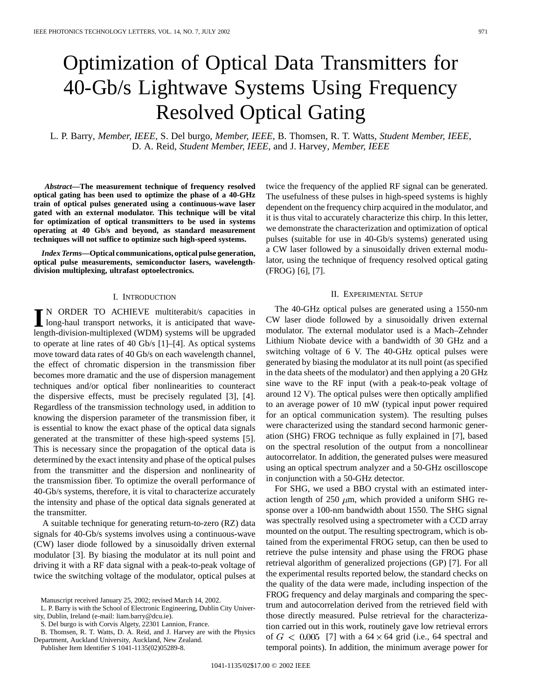# Optimization of Optical Data Transmitters for 40-Gb/s Lightwave Systems Using Frequency Resolved Optical Gating

L. P. Barry*, Member, IEEE*, S. Del burgo*, Member, IEEE*, B. Thomsen, R. T. Watts*, Student Member, IEEE*, D. A. Reid*, Student Member, IEEE*, and J. Harvey*, Member, IEEE*

*Abstract—***The measurement technique of frequency resolved optical gating has been used to optimize the phase of a 40-GHz train of optical pulses generated using a continuous-wave laser gated with an external modulator. This technique will be vital for optimization of optical transmitters to be used in systems operating at 40 Gb/s and beyond, as standard measurement techniques will not suffice to optimize such high-speed systems.**

*Index Terms—***Optical communications, optical pulse generation, optical pulse measurements, semiconductor lasers, wavelengthdivision multiplexing, ultrafast optoelectronics.**

## I. INTRODUCTION

**I** N ORDER TO ACHIEVE multiterabit/s capacities in long-haul transport networks, it is anticipated that wavelength-division-multiplexed (WDM) systems will be upgraded to operate at line rates of 40 Gb/s [1]–[4]. As optical systems move toward data rates of 40 Gb/s on each wavelength channel, the effect of chromatic dispersion in the transmission fiber becomes more dramatic and the use of dispersion management techniques and/or optical fiber nonlinearities to counteract the dispersive effects, must be precisely regulated [3], [4]. Regardless of the transmission technology used, in addition to knowing the dispersion parameter of the transmission fiber, it is essential to know the exact phase of the optical data signals generated at the transmitter of these high-speed systems [5]. This is necessary since the propagation of the optical data is determined by the exact intensity and phase of the optical pulses from the transmitter and the dispersion and nonlinearity of the transmission fiber. To optimize the overall performance of 40-Gb/s systems, therefore, it is vital to characterize accurately the intensity and phase of the optical data signals generated at the transmitter.

A suitable technique for generating return-to-zero (RZ) data signals for 40-Gb/s systems involves using a continuous-wave (CW) laser diode followed by a sinusoidally driven external modulator [3]. By biasing the modulator at its null point and driving it with a RF data signal with a peak-to-peak voltage of twice the switching voltage of the modulator, optical pulses at

S. Del burgo is with Corvis Algety, 22301 Lannion, France.

Publisher Item Identifier S 1041-1135(02)05289-8.

twice the frequency of the applied RF signal can be generated. The usefulness of these pulses in high-speed systems is highly dependent on the frequency chirp acquired in the modulator, and it is thus vital to accurately characterize this chirp. In this letter, we demonstrate the characterization and optimization of optical pulses (suitable for use in 40-Gb/s systems) generated using a CW laser followed by a sinusoidally driven external modulator, using the technique of frequency resolved optical gating (FROG) [6], [7].

## II. EXPERIMENTAL SETUP

The 40-GHz optical pulses are generated using a 1550-nm CW laser diode followed by a sinusoidally driven external modulator. The external modulator used is a Mach–Zehnder Lithium Niobate device with a bandwidth of 30 GHz and a switching voltage of 6 V. The 40-GHz optical pulses were generated by biasing the modulator at its null point (as specified in the data sheets of the modulator) and then applying a 20 GHz sine wave to the RF input (with a peak-to-peak voltage of around 12 V). The optical pulses were then optically amplified to an average power of 10 mW (typical input power required for an optical communication system). The resulting pulses were characterized using the standard second harmonic generation (SHG) FROG technique as fully explained in [7], based on the spectral resolution of the output from a noncollinear autocorrelator. In addition, the generated pulses were measured using an optical spectrum analyzer and a 50-GHz oscilloscope in conjunction with a 50-GHz detector.

For SHG, we used a BBO crystal with an estimated interaction length of 250  $\mu$ m, which provided a uniform SHG response over a 100-nm bandwidth about 1550. The SHG signal was spectrally resolved using a spectrometer with a CCD array mounted on the output. The resulting spectrogram, which is obtained from the experimental FROG setup, can then be used to retrieve the pulse intensity and phase using the FROG phase retrieval algorithm of generalized projections (GP) [7]. For all the experimental results reported below, the standard checks on the quality of the data were made, including inspection of the FROG frequency and delay marginals and comparing the spectrum and autocorrelation derived from the retrieved field with those directly measured. Pulse retrieval for the characterization carried out in this work, routinely gave low retrieval errors of  $G < 0.005$  [7] with a 64  $\times$  64 grid (i.e., 64 spectral and temporal points). In addition, the minimum average power for

Manuscript received January 25, 2002; revised March 14, 2002.

L. P. Barry is with the School of Electronic Engineering, Dublin City University, Dublin, Ireland (e-mail: liam.barry@dcu.ie).

B. Thomsen, R. T. Watts, D. A. Reid, and J. Harvey are with the Physics Department, Auckland University, Auckland, New Zealand.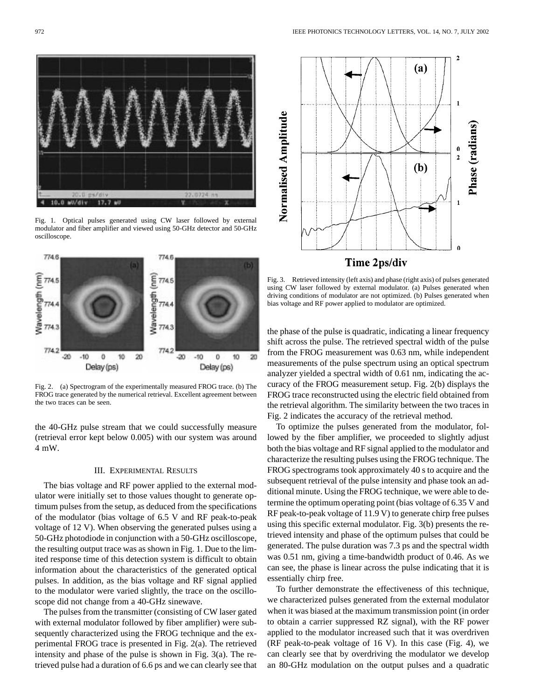Fig. 1. Optical pulses generated using CW laser followed by external modulator and fiber amplifier and viewed using 50-GHz detector and 50-GHz oscilloscope.

**7746** 

 $\frac{2}{3}$  7745<br> $\frac{2}{3}$  7744<br> $\frac{2}{3}$  7743

774.2

 $-20$  $-10$  Ö

Delay (ps)

10 20

ы



the 40-GHz pulse stream that we could successfully measure (retrieval error kept below 0.005) with our system was around 4 mW.

## III. EXPERIMENTAL RESULTS

The bias voltage and RF power applied to the external modulator were initially set to those values thought to generate optimum pulses from the setup, as deduced from the specifications of the modulator (bias voltage of 6.5 V and RF peak-to-peak voltage of 12 V). When observing the generated pulses using a 50-GHz photodiode in conjunction with a 50-GHz oscilloscope, the resulting output trace was as shown in Fig. 1. Due to the limited response time of this detection system is difficult to obtain information about the characteristics of the generated optical pulses. In addition, as the bias voltage and RF signal applied to the modulator were varied slightly, the trace on the oscilloscope did not change from a 40-GHz sinewave.

The pulses from the transmitter (consisting of CW laser gated with external modulator followed by fiber amplifier) were subsequently characterized using the FROG technique and the experimental FROG trace is presented in Fig. 2(a). The retrieved intensity and phase of the pulse is shown in Fig. 3(a). The retrieved pulse had a duration of 6.6 ps and we can clearly see that



the phase of the pulse is quadratic, indicating a linear frequency shift across the pulse. The retrieved spectral width of the pulse from the FROG measurement was 0.63 nm, while independent measurements of the pulse spectrum using an optical spectrum analyzer yielded a spectral width of 0.61 nm, indicating the accuracy of the FROG measurement setup. Fig. 2(b) displays the FROG trace reconstructed using the electric field obtained from the retrieval algorithm. The similarity between the two traces in Fig. 2 indicates the accuracy of the retrieval method.

To optimize the pulses generated from the modulator, followed by the fiber amplifier, we proceeded to slightly adjust both the bias voltage and RF signal applied to the modulator and characterize the resulting pulses using the FROG technique. The FROG spectrograms took approximately 40 s to acquire and the subsequent retrieval of the pulse intensity and phase took an additional minute. Using the FROG technique, we were able to determine the optimum operating point (bias voltage of 6.35 V and RF peak-to-peak voltage of 11.9 V) to generate chirp free pulses using this specific external modulator. Fig. 3(b) presents the retrieved intensity and phase of the optimum pulses that could be generated. The pulse duration was 7.3 ps and the spectral width was 0.51 nm, giving a time-bandwidth product of 0.46. As we can see, the phase is linear across the pulse indicating that it is essentially chirp free.

To further demonstrate the effectiveness of this technique, we characterized pulses generated from the external modulator when it was biased at the maximum transmission point (in order to obtain a carrier suppressed RZ signal), with the RF power applied to the modulator increased such that it was overdriven (RF peak-to-peak voltage of 16 V). In this case (Fig. 4), we can clearly see that by overdriving the modulator we develop an 80-GHz modulation on the output pulses and a quadratic





774.6

 $\begin{array}{l} \mbox{1.5}\ \mbox{1.6}\ \mbox{2.6}\ \mbox{2.6}\ \mbox{2.6}\ \mbox{2.6}\ \mbox{2.6}\ \mbox{2.6}\ \mbox{2.6}\ \mbox{2.6}\ \mbox{2.6}\ \mbox{2.6}\ \mbox{2.6}\ \mbox{2.6}\ \mbox{2.6}\ \mbox{2.6}\ \mbox{2.6}\ \mbox{2.6}\ \mbox{2.6}\ \mbox{2.6}\ \mbox{2.6}\ \mbox{2.6}\ \mbox{2.6}\ \mbox{2.6}\ \mbox{2.6}\ \mbox{2.6}\ \mbox{2$ 

 $774.2$ 

 $-20$  $-10$  o

Delay (ps)

10 20